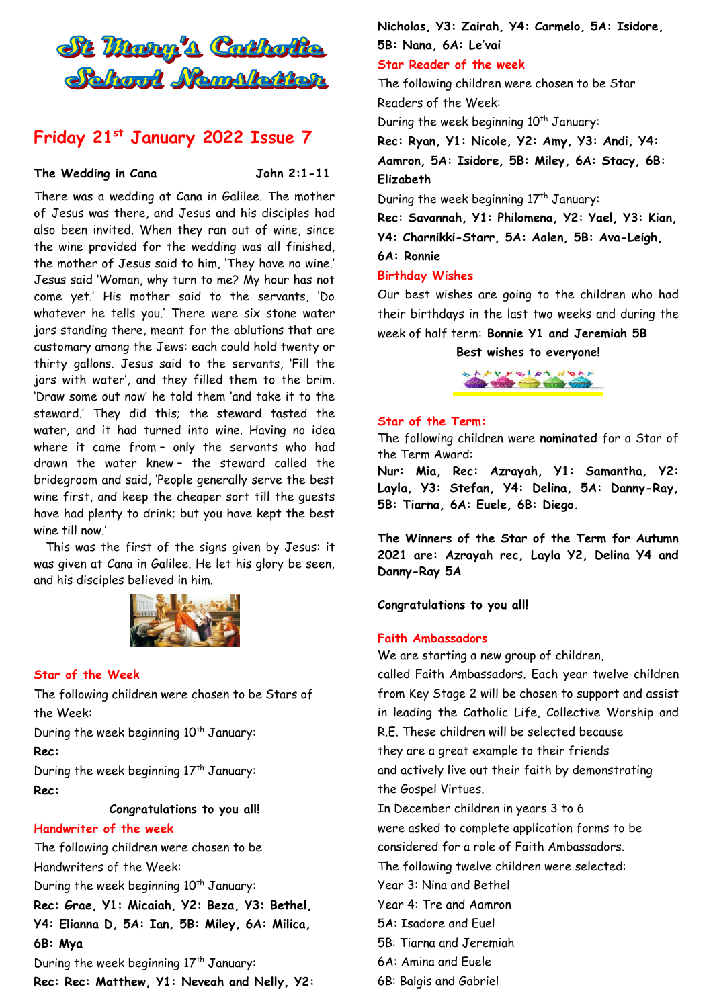

# **Friday 21st January 2022 Issue 7**

#### The Wedding in Cana **John 2:1-11**

There was a wedding at Cana in Galilee. The mother of Jesus was there, and Jesus and his disciples had also been invited. When they ran out of wine, since the wine provided for the wedding was all finished, the mother of Jesus said to him, 'They have no wine.' Jesus said 'Woman, why turn to me? My hour has not come yet.' His mother said to the servants, 'Do whatever he tells you.' There were six stone water jars standing there, meant for the ablutions that are customary among the Jews: each could hold twenty or thirty gallons. Jesus said to the servants, 'Fill the jars with water', and they filled them to the brim. 'Draw some out now' he told them 'and take it to the steward.' They did this; the steward tasted the water, and it had turned into wine. Having no idea where it came from – only the servants who had drawn the water knew – the steward called the bridegroom and said, 'People generally serve the best wine first, and keep the cheaper sort till the guests have had plenty to drink; but you have kept the best wine till now.'

This was the first of the signs given by Jesus: it was given at Cana in Galilee. He let his glory be seen, and his disciples believed in him.



### **Star of the Week**

The following children were chosen to be Stars of the Week:

During the week beginning  $10<sup>th</sup>$  January: **Rec:**

During the week beginning 17<sup>th</sup> January: **Rec:** 

**Congratulations to you all!** 

#### **Handwriter of the week**

The following children were chosen to be Handwriters of the Week:

During the week beginning 10<sup>th</sup> January:

**Rec: Grae, Y1: Micaiah, Y2: Beza, Y3: Bethel,** 

**Y4: Elianna D, 5A: Ian, 5B: Miley, 6A: Milica, 6B: Mya** 

During the week beginning  $17<sup>th</sup>$  January: **Rec: Rec: Matthew, Y1: Neveah and Nelly, Y2:**  **Nicholas, Y3: Zairah, Y4: Carmelo, 5A: Isidore, 5B: Nana, 6A: Le'vai**

### **Star Reader of the week**

The following children were chosen to be Star Readers of the Week:

During the week beginning 10<sup>th</sup> January:

**Rec: Ryan, Y1: Nicole, Y2: Amy, Y3: Andi, Y4: Aamron, 5A: Isidore, 5B: Miley, 6A: Stacy, 6B:**

**Elizabeth**

During the week beginning  $17<sup>th</sup>$  January:

**Rec: Savannah, Y1: Philomena, Y2: Yael, Y3: Kian, Y4: Charnikki-Starr, 5A: Aalen, 5B: Ava-Leigh, 6A: Ronnie**

#### **Birthday Wishes**

Our best wishes are going to the children who had their birthdays in the last two weeks and during the week of half term: **Bonnie Y1 and Jeremiah 5B**

#### **Best wishes to everyone!**



#### **Star of the Term:**

The following children were **nominated** for a Star of the Term Award:

**Nur: Mia, Rec: Azrayah, Y1: Samantha, Y2: Layla, Y3: Stefan, Y4: Delina, 5A: Danny-Ray, 5B: Tiarna, 6A: Euele, 6B: Diego.**

**The Winners of the Star of the Term for Autumn 2021 are: Azrayah rec, Layla Y2, Delina Y4 and Danny-Ray 5A**

**Congratulations to you all!**

#### **Faith Ambassadors**

We are starting a new group of children,

called Faith Ambassadors. Each year twelve children from Key Stage 2 will be chosen to support and assist in leading the Catholic Life, Collective Worship and R.E. These children will be selected because they are a great example to their friends and actively live out their faith by demonstrating the Gospel Virtues. In December children in years 3 to 6 were asked to complete application forms to be considered for a role of Faith Ambassadors. The following twelve children were selected: Year 3: Nina and Bethel Year 4: Tre and Aamron 5A: Isadore and Euel

5B: Tiarna and Jeremiah

6A: Amina and Euele

6B: Balgis and Gabriel